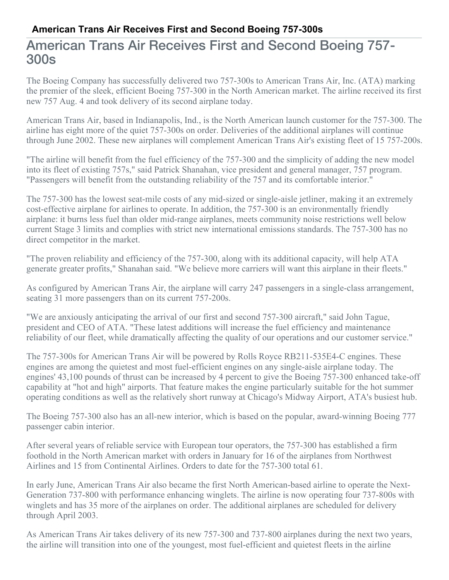## American Trans Air Receives First and Second Boeing 757- 300s

The Boeing Company has successfully delivered two 757-300s to American Trans Air, Inc. (ATA) marking the premier of the sleek, efficient Boeing 757-300 in the North American market. The airline received its first new 757 Aug. 4 and took delivery of its second airplane today.

American Trans Air, based in Indianapolis, Ind., is the North American launch customer for the 757-300. The airline has eight more of the quiet 757-300s on order. Deliveries of the additional airplanes will continue through June 2002. These new airplanes will complement American Trans Air's existing fleet of 15 757-200s.

"The airline will benefit from the fuel efficiency of the 757-300 and the simplicity of adding the new model into its fleet of existing 757s," said Patrick Shanahan, vice president and general manager, 757 program. "Passengers will benefit from the outstanding reliability of the 757 and its comfortable interior."

The 757-300 has the lowest seat-mile costs of any mid-sized or single-aisle jetliner, making it an extremely cost-effective airplane for airlines to operate. In addition, the 757-300 is an environmentally friendly airplane: it burns less fuel than older mid-range airplanes, meets community noise restrictions well below current Stage 3 limits and complies with strict new international emissions standards. The 757-300 has no direct competitor in the market.

"The proven reliability and efficiency of the 757-300, along with its additional capacity, will help ATA generate greater profits," Shanahan said. "We believe more carriers will want this airplane in their fleets."

As configured by American Trans Air, the airplane will carry 247 passengers in a single-class arrangement, seating 31 more passengers than on its current 757-200s.

"We are anxiously anticipating the arrival of our first and second 757-300 aircraft," said John Tague, president and CEO of ATA. "These latest additions will increase the fuel efficiency and maintenance reliability of our fleet, while dramatically affecting the quality of our operations and our customer service."

The 757-300s for American Trans Air will be powered by Rolls Royce RB211-535E4-C engines. These engines are among the quietest and most fuel-efficient engines on any single-aisle airplane today. The engines' 43,100 pounds of thrust can be increased by 4 percent to give the Boeing 757-300 enhanced take-off capability at "hot and high" airports. That feature makes the engine particularly suitable for the hot summer operating conditions as well as the relatively short runway at Chicago's Midway Airport, ATA's busiest hub.

The Boeing 757-300 also has an all-new interior, which is based on the popular, award-winning Boeing 777 passenger cabin interior.

After several years of reliable service with European tour operators, the 757-300 has established a firm foothold in the North American market with orders in January for 16 of the airplanes from Northwest Airlines and 15 from Continental Airlines. Orders to date for the 757-300 total 61.

In early June, American Trans Air also became the first North American-based airline to operate the Next-Generation 737-800 with performance enhancing winglets. The airline is now operating four 737-800s with winglets and has 35 more of the airplanes on order. The additional airplanes are scheduled for delivery through April 2003.

As American Trans Air takes delivery of its new 757-300 and 737-800 airplanes during the next two years, the airline will transition into one of the youngest, most fuel-efficient and quietest fleets in the airline